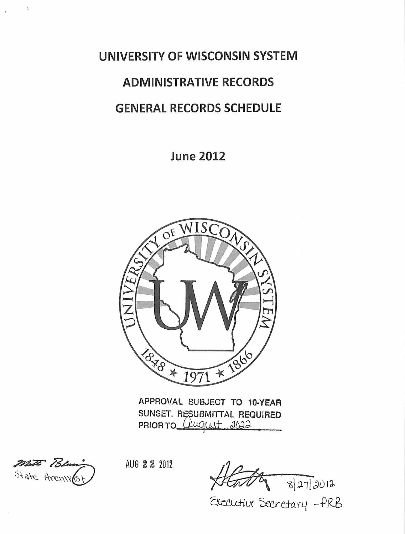**UNIVERSITY OF WISCONSIN SYSTEM ADMINISTRATIVE RECORDS GENERAL RECORDS SCHEDULE** 

**June 2012** 



APPROVAL SUBJECT TO **10·YEAR**  SUNSET. RESUBMITTAL REQUIRED PRIOR TO *Clugust 2022* 

MATE Polum

 $\pm$ 

 $\tilde{\mathbf{z}}$  .

AUG 2 2 <sup>2012</sup>

 $\sqrt{827/2012}$ 

~LX *'Seer-etax4* -*.PR-b*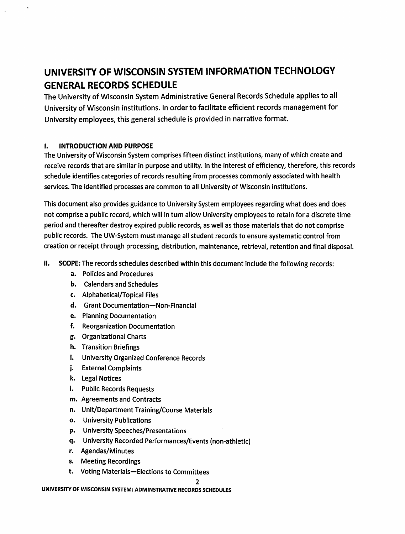# UNIVERSITY OF WISCONSIN SYSTEM INFORMATION TECHNOLOGY GENERAL RECORDS SCHEDULE

The University of Wisconsin System Administrative General Records Schedule applies to all University of Wisconsin institutions. In order to facilitate efficient records management for University employees, this general schedule is provided in narrative format.

#### I. INTRODUCTION AND PURPOSE

l,

The University of Wisconsin System comprises fifteen distinct institutions, many of which create and receive records that are similar in purpose and utility. In the interest of efficiency, therefore, this records schedule identifies categories of records resulting from processes commonly associated with health services. The identified processes are common to all University of Wisconsin institutions.

This document also provides guidance to University System employees regarding what does and does not comprise a public record, which will in turn allow University employees to retain for a discrete time period and thereafter destroy expired public records, as well as those materials that do not comprise public records. The UW-System must manage all student records to ensure systematic control from creation or receipt through processing, distribution, maintenance, retrieval, retention and final disposal.

- II. SCOPE: The records schedules described within this document include the following records:
	- a. Policies and Procedures
	- b. Calendars and Schedules
	- c. Alphabetical/Topical Files
	- d. Grant Documentation-Non-Financial
	- e. Planning Documentation
	- f. Reorganization Documentation
	- g. Organizational Charts
	- h. Transition Briefings
	- i. University Organized Conference Records
	- j. External Complaints
	- k. Legal Notices
	- I. Public Records Requests
	- m. Agreements and Contracts
	- n. Unit/Department Training/Course Materials
	- o. University Publications
	- p. University Speeches/Presentations
	- q. University Recorded Performances/Events (non-athletic)
	- r. Agendas/Minutes
	- s. Meeting Recordings
	- t. Voting Materials-Elections to Committees

#### UNIVERSITY OF WISCONSIN SYSTEM: ADMINSTRATIVE RECORDS SCHEDULES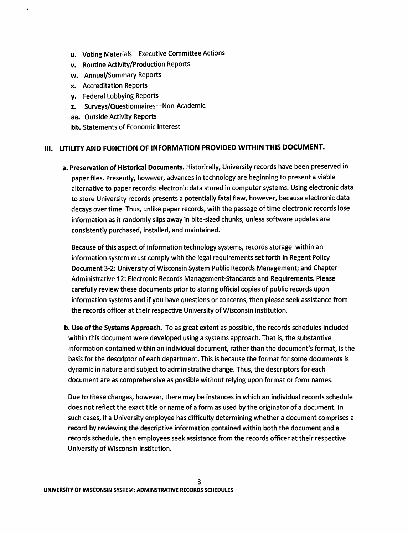- u. Voting Materials-Executive Committee Actions
- v. Routine Activity/Production Reports
- w. Annual/Summary Reports
- x. Accreditation Reports
- y. Federal Lobbying Reports
- z. Surveys/Questionnaires-Non-Academic
- aa. Outside Activity Reports
- bb. Statements of Economic Interest

### Ill. UTILITY AND FUNCTION OF INFORMATION PROVIDED WITHIN THIS DOCUMENT.

a. Preservation of Historical Documents. Historically, University records have been preserved in paper files. Presently, however, advances in technology are beginning to present a viable alternative to paper records: electronic data stored in computer systems. Using electronic data to store University records presents a potentially fatal flaw, however, because electronic data decays over time. Thus, unlike paper records, with the passage of time electronic records lose information as it randomly slips away in bite-sized chunks, unless software updates are consistently purchased, installed, and maintained.

Because of this aspect of information technology systems, records storage within an information system must comply with the legal requirements set forth in Regent Policy Document 3-2: University of Wisconsin System Public Records Management; and Chapter Administrative 12: Electronic Records Management-Standards and Requirements. Please carefully review these documents prior to storing official copies of public records upon information systems and if you have questions or concerns, then please seek assistance from the records officer at their respective University of Wisconsin institution.

b. Use of the Systems Approach. To as great extent as possible, the records schedules included within this document were developed using a systems approach. That is, the substantive information contained within an individual document, rather. than the document's format, is the basis for the descriptor of each department. This is because the format for some documents is dynamic in nature and subject to administrative change. Thus, the descriptors for each document are as comprehensive as possible without relying upon format or form names.

Due to these changes, however, there may be instances in which an individual records schedule does not reflect the exact title or name of a form as used by the originator of a document. In such cases, if a University employee has difficulty determining whether a document comprises a record by reviewing the descriptive information contained within both the document and a records schedule, then employees seek assistance from the records officer at their respective University of Wisconsin institution.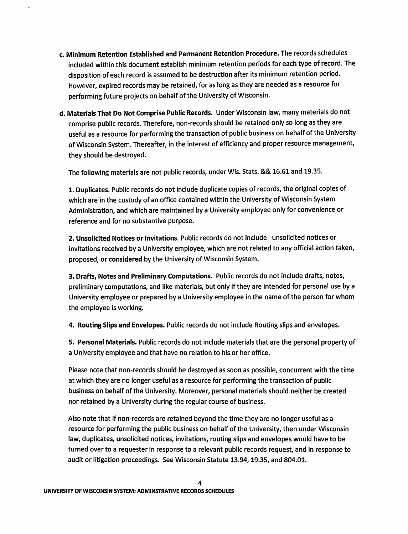- c. Minimum Retention Established and Permanent Retention Procedure. The records schedules included within this document establish minimum retention periods for each type of record. The disposition of each record is assumed to be destruction after its minimum retention period. However, expired records may be retained, for as long as they are needed as a resource for performing future projects on behalf of the University of Wisconsin.
- d. Materials That Do Not Comprise Public Records. Under Wisconsin law, many materials do not comprise public records. Therefore, non-records should be retained only so long as they are useful as a resource for performing the transaction of public business on behalf of the University of Wisconsin System. Thereafter, in the interest of efficiency and proper resource management, they should be destroyed.

The following materials are not public records, under Wis. Stats. && 16.61 and 19.35.

1. Duplicates. Public records do not include duplicate copies of records, the original copies of which are in the custody of an office contained within the University of Wisconsin System Administration, and which are maintained by a University employee only for convenience or reference and for no substantive purpose.

2. Unsolicited Notices or Invitations. Public records do not include unsolicited notices or invitations received by a University employee, which are not related to any official action taken, proposed, or considered by the University of Wisconsin System.

3. Drafts, Notes and Preliminary Computations. Public records do not include drafts, notes, preliminary computations, and like materials, but only if they are intended for personal use by a University employee or prepared by a University employee in the name of the person for whom the employee is working.

4. Routing Slips and Envelopes. Public records do not include Routing slips and envelopes.

5. Personal Materials. Public records do not include materials that are the personal property of a University employee and that have no relation to his or her office.

Please note that non-records should be destroyed as soon as possible, concurrent with the time at which they are no longer useful as a resource for performing the transaction of public business on behalf of the University. Moreover, personal materials should neither be created nor retained by a University during the regular course of business.

Also note that if non-records are retained beyond the time they are no longer useful as a resource for performing the public business on behalf of the University, then under Wisconsin law, duplicates, unsolicited notices, invitations, routing slips and envelopes would have to be turned over to a requester in response to a relevant public records request, and in response to audit or litigation proceedings. See Wisconsin Statute 13.94, 19.35, and 804.01.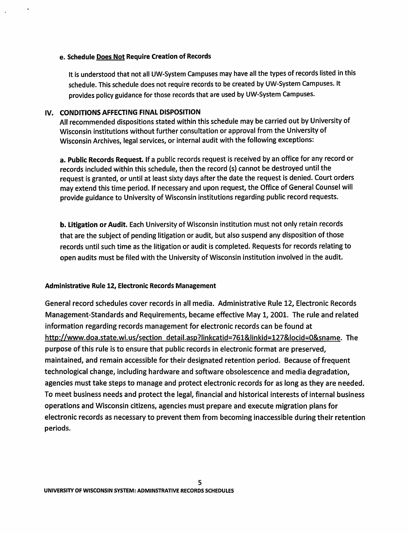#### e. Schedule Does Not Require Creation of Records

It is understood that not all UW-System Campuses may have all the types of records listed in this schedule. This schedule does not require records to be created by UW-System Campuses. It provides policy guidance for those records that are used by UW-System Campuses.

#### IV. CONDITIONS AFFECTING FINAL DISPOSITION

All recommended dispositions stated within this schedule may be carried out by University of Wisconsin institutions without further consultation or approval from the University of Wisconsin Archives, legal services, or internal audit with the following exceptions:

a. Public Records Request. If a public records request is received by an office for any record or records included within this schedule, then the record (s) cannot be destroyed until the request is granted, or until at least sixty days after the date the request is denied. Court orders may extend this time period. If necessary and upon request, the Office of General Counsel will provide guidance to University of Wisconsin institutions regarding public record requests.

b. Litigation or Audit. Each University of Wisconsin institution must not only retain records that are the subject of pending litigation or audit, but also suspend any disposition of those records until such time as the litigation or audit is completed. Requests for records relating to open audits must be filed with the University of Wisconsin institution involved in the audit.

#### Administrative Rule 12, Electronic Records Management

General record schedules cover records in all media. Administrative Rule 12, Electronic Records Management-Standards and Requirements, became effective May 1, 2001. The rule and related information regarding records management for electronic records can be found at http://www.doa.state.wi.us/section detail.asp?linkcatid=761&1inkid=127&1ocid=O&sname. The purpose of this rule is to ensure that public records in electronic format are preserved, maintained, and remain accessible for their designated retention period. Because of frequent technological change, including hardware and software obsolescence and media degradation, agencies must take steps to manage and protect electronic records for as long as they are needed. To meet business needs and protect the legal, financial and historical interests of internal business operations and Wisconsin citizens, agencies must prepare and execute migration plans for electronic records as necessary to prevent them from becoming inaccessible during their retention periods.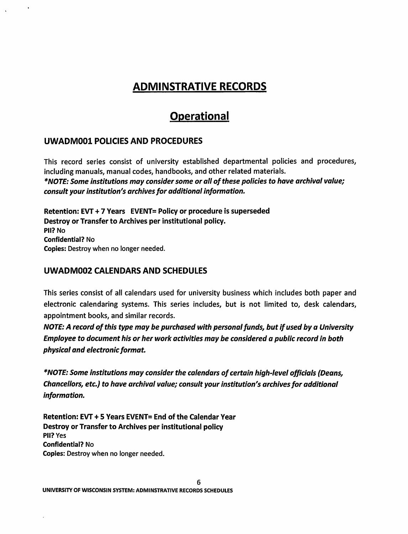# ADMINSTRATIVE RECORDS

# **Operational**

# UWADM001 POLICIES AND PROCEDURES

This record series consist of university established departmental policies and procedures, including manuals, manual codes, handbooks, and other related materials. *\*NOTE: Some institutions may consider some or all of these policies to have archival value; consult your institution's archives for additional information.* 

Retention: EVT + 7 Years EVENT= Policy or procedure is superseded Destroy or Transfer to Archives per institutional policy. Pll? No Confidential? No Copies: Destroy when no longer needed.

# UWADM002 CALENDARS AND SCHEDULES

This series consist of all calendars used for university business which includes both paper and electronic calendaring systems. This series includes, but is not limited to, desk calendars, appointment books, and similar records.

*NOTE: A record of this type may be purchased with personal funds, but* if *used by a University Employee to document his or her work activities may be considered a public record in both physical and electronic format.* 

*\*NOTE: Some institutions may consider the calendars of certain high-level officials (Deans, Chancellors, etc.) to have archival value; consult your institution's archives for additional information.* 

Retention: EVT + 5 Years EVENT= End of the Calendar Vear Destroy or Transfer to Archives per institutional policy Pll? Yes Confidential? No Copies: Destroy when no longer needed.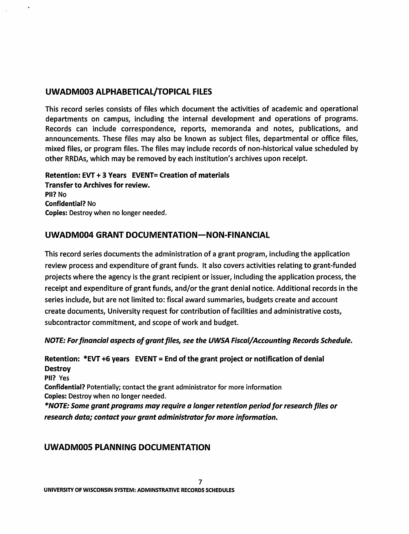## UWADM003 ALPHABETICAL/TOPICAL FILES

This record series consists of files which document the activities of academic and operational departments on campus, including the internal development and operations of programs. Records can include correspondence, reports, memoranda and notes, publications, and announcements. These files may also be known as subject files, departmental or office files, mixed files, or program files. The files may include records of non-historical value scheduled by other RRDAs, which may be removed by each institution's archives upon receipt.

### Retention: EVT + 3 Years EVENT= Creation of materials Transfer to Archives for review. Pll? No Confidential? No Copies: Destroy when no longer needed.

## UWADM004 GRANT DOCUMENTATION-NON-FINANCIAL

This record series documents the administration of a grant program, including the application review process and expenditure of grant funds. It also covers activities relating to grant-funded projects where the agency is the grant recipient or issuer, including the application process, the receipt and expenditure of grant funds, and/or the grant denial notice. Additional records in the series include, but are not limited to: fiscal award summaries, budgets create and account create documents, University request for contribution of facilities and administrative costs, subcontractor commitment, and scope of work and budget.

*NOTE: For financial aspects of grant files, see the UWSA Fiscal/ Accounting Records Schedule.* 

Retention: \*EVT +6 years EVENT= End of the grant project or notification of denial **Destroy** Pll? Yes Confidential? Potentially; contact the grant administrator for more information Copies: Destroy when no longer needed. *\*NOTE: Some grant programs may require a longer retention period for research files or research data; contact your grant administrator for more information.* 

# UWADMOOS PLANNING DOCUMENTATION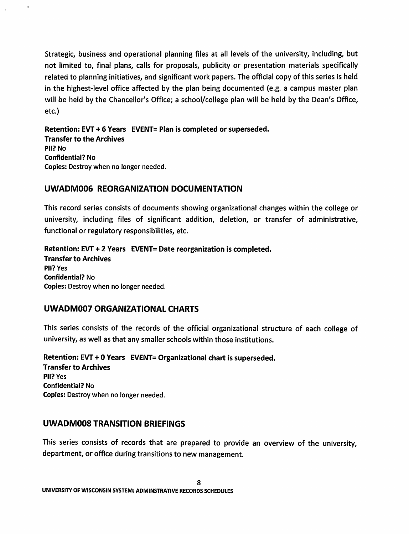Strategic, business and operational planning files at all levels of the university, including, but not limited to, final plans, calls for proposals, publicity or presentation materials specifically related to planning initiatives, and significant work papers. The official copy of this series is held in the highest-level office affected by the plan being documented (e.g. a campus master plan will be held by the Chancellor's Office; a school/college plan will be held by the Dean's Office, etc.)

Retention: EVT + 6 Years EVENT= Plan is completed or superseded. Transfer to the Archives Pll? No Confidential? No Copies: Destroy when no longer needed.

## UWADM006 REORGANIZATION DOCUMENTATION

This record series consists of documents showing organizational changes within the college or university, including files of significant addition, deletion, or transfer of administrative, functional or regulatory responsibilities, etc.

Retention: EVT + 2 Years EVENT= Date reorganization is completed. Transfer to Archives Pll? Yes Confidential? No Copies: Destroy when no longer needed.

## UWADM007 ORGANIZATIONAL CHARTS

This series consists of the records of the official organizational structure of each college of university, as well as that any smaller schools within those institutions.

Retention: EVT + O Years EVENT= Organizational chart is superseded. Transfer to Archives Pll? Yes Confidential? No Copies: Destroy when no longer needed.

## UWADMOOS TRANSITION BRIEFINGS

This series consists of records that are prepared to provide an overview of the university, department, or office during transitions to new management.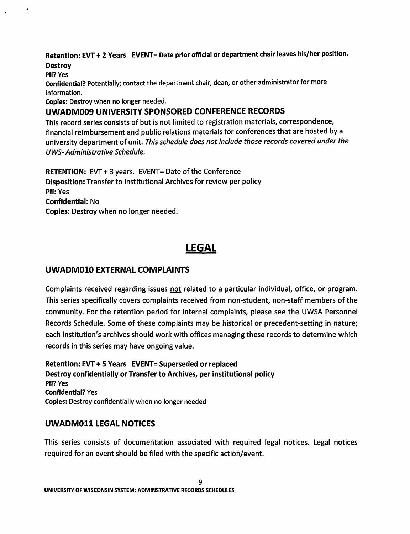Retention: EVT + 2 Years EVENT= Date prior official or department chair leaves his/her position. **Destroy** 

Pll? Yes

Confidential? Potentially; contact the department chair, dean, or other administrator for more information.

Copies: Destroy when no longer needed.

# UWADM009 UNIVERSITY SPONSORED CONFERENCE RECORDS

This record series consists of but is not limited to registration materials, correspondence, financial reimbursement and public relations materials for conferences that are hosted by a university department of unit. This schedule does not include those records covered under the UWS- Administrative Schedule.

RETENTION: EVT + 3 years. EVENT= Date of the Conference Disposition: Transfer to Institutional Archives for review per policy Pll:Yes Confidential: No Copies: Destroy when no longer needed.

# LEGAL

# UWADM010 EXTERNAL COMPLAINTS

Complaints received regarding issues not related to a particular individual, office, or program. This series specifically covers complaints received from non-student, non-staff members of the community. For the retention period for internal complaints, please see the UWSA Personnel Records Schedule. Some of these complaints may be historical or precedent-setting in nature; each institution's archives should work with offices managing these records to determine which records in this series may have ongoing value.

Retention: EVT + 5 Years EVENT= Superseded or replaced Destroy confidentially or Transfer to Archives, per institutional policy Pll? Yes Confidential? Yes Copies: Destroy confidentially when no longer needed

## UWADM011 LEGAL NOTICES

This series consists of documentation associated with required legal notices. Legal notices required for an event should be filed with the specific action/event.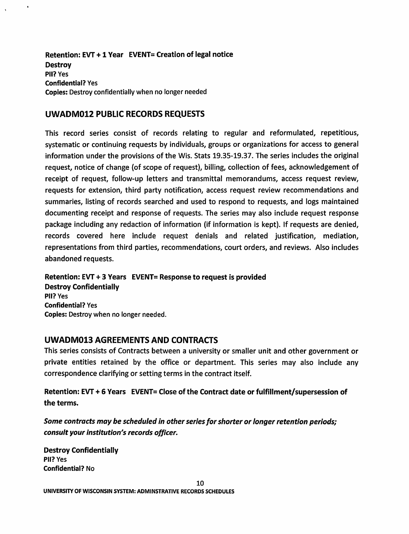Retention: EVT + 1 Year EVENT= Creation of legal notice **Destroy** Pll? Yes Confidential? Yes Copies: Destroy confidentially when no longer needed

### UWADM012 PUBLIC RECORDS REQUESTS

 $\ddot{\phantom{a}}$ 

This record series consist of records relating to regular and reformulated, repetitious, systematic or continuing requests by individuals, groups or organizations for access to general information under the provisions of the Wis. Stats 19.35-19.37. The series includes the original request, notice of change (of scope of request), billing, collection of fees, acknowledgement of receipt of request, follow-up letters and transmittal memorandums, access request review, requests for extension, third party notification, access request review recommendations and summaries, listing of records searched and used to respond to requests, and logs maintained documenting receipt and response of requests. The series may also include request response package including any redaction of information (if information is kept). If requests are denied, records covered here include request denials and related justification, mediation, representations from third parties, recommendations, court orders, and reviews. Also includes abandoned requests.

Retention: EVT + 3 Years EVENT= Response to request is provided Destroy Confidentially Pll? Yes Confidential? Yes Copies: Destroy when no longer needed.

#### UWADM013 AGREEMENTS AND CONTRACTS

This series consists of Contracts between a university or smaller unit and other government or private entities retained by the office or department. This series may also include any correspondence clarifying or setting terms in the contract itself.

Retention: EVT + 6 Years EVENT= Close of the Contract date or fulfillment/supersession of the terms.

*Some contracts may be scheduled in other series for shorter or longer retention periods; consult your institution's records officer.* 

Destroy Confidentially Pll? Yes Confidential? No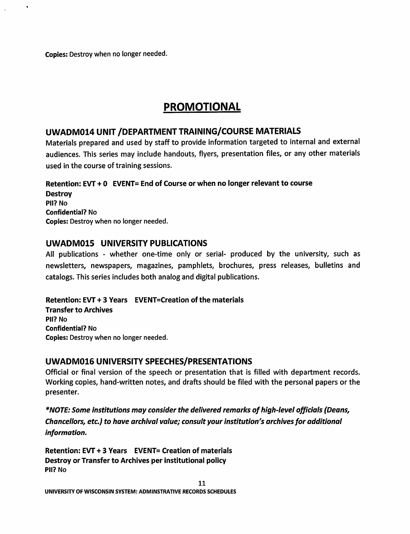Copies: Destroy when no longer needed.

 $\ddot{\phantom{a}}$ 

# PROMOTIONAL

## UWADM014 UNIT /DEPARTMENT TRAINING/COURSE MATERIALS

Materials prepared and used by staff to provide information targeted to internal and external audiences. This series may include handouts, flyers, presentation files, or any other materials used in the course of training sessions.

### Retention: EVT + O EVENT= End of Course or when no longer relevant to course

**Destroy** Pll? No Confidential? No Copies: Destroy when no longer needed.

## UWADM015 UNIVERSITY PUBLICATIONS

All publications - whether one-time only or serial- produced by the university, such as newsletters, newspapers, magazines, pamphlets, brochures, press releases, bulletins and catalogs. This series includes both analog and digital publications.

#### Retention: EVT + 3 Years EVENT=Creation of the materials

Transfer to Archives Pll? No Confidential? No Copies: Destroy when no longer needed.

## UWADM016 UNIVERSITY SPEECHES/PRESENTATIONS

Official or final version of the speech or presentation that is filled with department records. Working copies, hand-written notes, and drafts should be filed with the personal papers or the presenter.

*\*NOTE: Some institutions may consider the delivered remarks of high-level officials (Deans, Chancellors, etc.) to have archival value; consult your institution's archives for additional information.* 

Retention: EVT + 3 Years EVENT= Creation of materials Destroy or Transfer to Archives per institutional policy Pll? No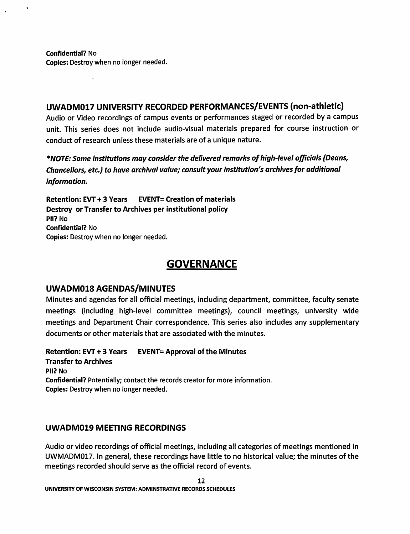Confidential? No Copies: Destroy when no longer needed.

 $\mathbf{r}$ 

## UWADM017 UNIVERSITY RECORDED PERFORMANCES/EVENTS (non-athletic)

Audio or Video recordings of campus events or performances staged or recorded by a campus unit. This series does not include audio-visual materials prepared for course instruction or conduct of research unless these materials are of a unique nature.

*\*NOTE: Some institutions may consider the delivered remarks of high-level officials (Deans, Chancellors, etc.) to have archival value; consult your institution's archives for additional information.* 

Retention: EVT + 3 Years EVENT= Creation of materials Destroy or Transfer to Archives per institutional policy Pll? No Confidential? No Copies: Destroy when no longer needed.

# **GOVERNANCE**

## UWADM018 AGENDAS/MINUTES

Minutes and agendas for all official meetings, including department, committee, faculty senate meetings (including high-level committee meetings), council meetings, university wide meetings and Department Chair correspondence. This series also includes any supplementary documents or other materials that are associated with the minutes.

Retention: EVT + 3 Years EVENT= Approval of the Minutes Transfer to Archives Pll? No Confidential? Potentially; contact the records creator for more information. Copies: Destroy when no longer needed.

## UWADM019 MEETING RECORDINGS

Audio or video recordings of official meetings, including all categories of meetings mentioned in UWMADM017. In general, these recordings have little to no historical value; the minutes of the meetings recorded should serve as the official record of events.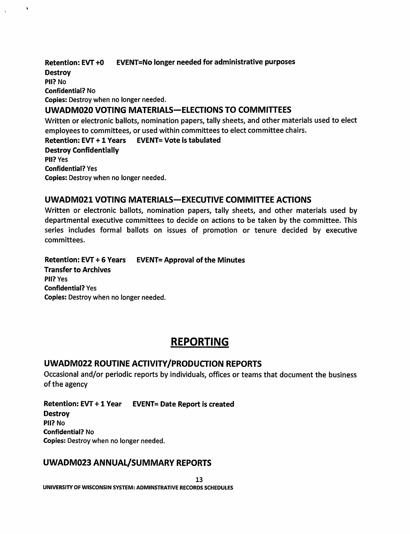Retention: EVT +0 EVENT=No longer needed for administrative purposes **Destroy** Pll? No Confidential? No Copies: Destroy when no longer needed. UWADM020 VOTING MATERIALS-ELECTIONS TO COMMITTEES Written or electronic ballots, nomination papers, tally sheets, and other materials used to elect employees to committees, or used within committees to elect committee chairs. Retention: EVT + 1 Years EVENT= Vote is tabulated Destroy Confidentially Pll? Yes Confidential? Yes Copies: Destroy when no longer needed.

## UWADM021 VOTING MATERIALS-EXECUTIVE COMMITTEE ACTIONS

Written or electronic ballots, nomination papers, tally sheets, and other materials used by departmental executive committees to decide on actions to be taken by the committee. This series includes formal ballots on issues of promotion or tenure decided by executive committees.

Retention: EVT + 6 Years EVENT= Approval of the Minutes Transfer to Archives Pll? Yes Confidential? Yes Copies: Destroy when no longer needed.

# REPORTING

#### UWADM022 ROUTINE ACTIVITY/PRODUCTION REPORTS

Occasional and/or periodic reports by individuals, offices or teams that document the business of the agency

Retention: EVT + 1 Year EVENT= Date Report is created **Destroy** Pll? No Confidential? No Copies: Destroy when no longer needed.

## UWADM023 ANNUAL/SUMMARY REPORTS

13 UNIVERSITY OF WISCONSIN SYSTEM: ADMINSTRATIVE RECORDS SCHEDULES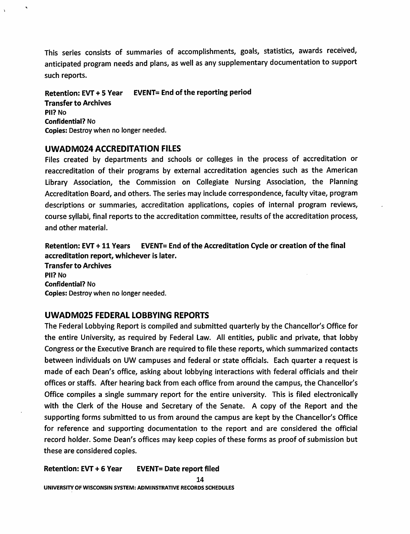This series consists of summaries of accomplishments, goals, statistics, awards received, anticipated program needs and plans, as well as any supplementary documentation to support such reports.

Retention: EVT + 5 Year EVENT= End of the reporting period Transfer to Archives Pll? No Confidential? No Copies: Destroy when no longer needed.

#### UWADM024 ACCREDITATION FILES

Files created by departments and schools or colleges in the process of accreditation or reaccreditation of their programs by external accreditation agencies such as the American Library Association, the Commission on Collegiate Nursing Association, the Planning Accreditation Board, and others. The series may include correspondence, faculty vitae, program descriptions or summaries, accreditation applications, copies of internal program reviews, course syllabi, final reports to the accreditation committee, results of the accreditation process, and other material.

Retention: EVT + 11 Years EVENT= End of the Accreditation Cycle or creation of the final accreditation report, whichever is later. Transfer to Archives

Pll? No Confidential? No Copies: Destroy when no longer needed.

#### UWADM025 FEDERAL LOBBYING REPORTS

The Federal Lobbying Report is compiled and submitted quarterly by the Chancellor's Office for the entire University, as required by Federal Law. All entities, public and private, that lobby Congress or the Executive Branch are required to file these reports, which summarized contacts between individuals on UW campuses and federal or state officials. Each quarter a request is made of each Dean's office, asking about lobbying interactions with federal officials and their offices or staffs. After hearing back from each office from around the campus, the Chancellor's Office compiles a single summary report for the entire university. This is filed electronically with the Clerk of the House and Secretary of the Senate. A copy of the Report and the supporting forms submitted to us from around the campus are kept by the Chancellor's Office for reference and supporting documentation to the report and are considered the official record holder. Some Dean's offices may keep copies of these forms as proof of submission but these are considered copies.

Retention: EVT + 6 Vear EVENT= Date report filed

14 UNIVERSITY OF WISCONSIN SYSTEM: ADMINSTRATIVE RECORDS SCHEDULES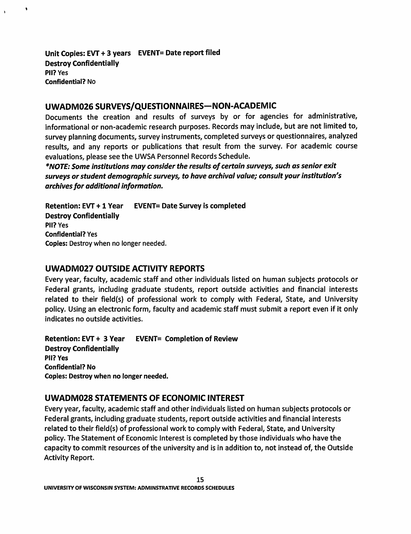Unit Copies: EVT + 3 years EVENT= Date report filed Destroy Confidentially Pll? Yes Confidential? No

 $\ddot{\phantom{0}}$ 

## UWADM026 SURVEYS/QUESTIONNAIRES-NON-ACADEMIC

Documents the creation and results of surveys by or for agencies for administrative, informational or non-academic research purposes. Records may include, but are not limited to, survey planning documents, survey instruments, completed surveys or questionnaires, analyzed results, and any reports or publications that result from the survey. For academic course evaluations, please see the UWSA Personnel Records Schedule.

*\*NOTE: Some institutions may consider the results of certain surveys, such as senior exit surveys or student demographic surveys, to have archival value; consult your institution's archives for additional information.* 

Retention: EVT + 1 Year EVENT= Date Survey is completed Destroy Confidentially Pll? Yes Confidential? Yes Copies: Destroy when no longer needed.

## UWADM027 OUTSIDE ACTIVITY REPORTS

Every year, faculty, academic staff and other individuals listed on human subjects protocols or Federal grants, including graduate students, report outside activities and financial interests related to their field(s) of professional work to comply with Federal, State, and University policy. Using an electronic form, faculty and academic staff must submit a report even if it only indicates no outside activities.

Retention: EVT + 3 Year EVENT= Completion of Review Destroy Confidentially Pll? Yes Confidential? No Copies: Destroy when no longer needed.

## UWADM028 STATEMENTS OF ECONOMIC INTEREST

Every year, faculty, academic staff and other individuals listed on human subjects protocols or Federal grants, including graduate students, report outside activities and financial interests related to their field(s) of professional work to comply with Federal, State, and University policy. The Statement of Economic Interest is completed by those individuals who have the capacity to commit resources of the university and is in addition to, not instead of, the Outside Activity Report.